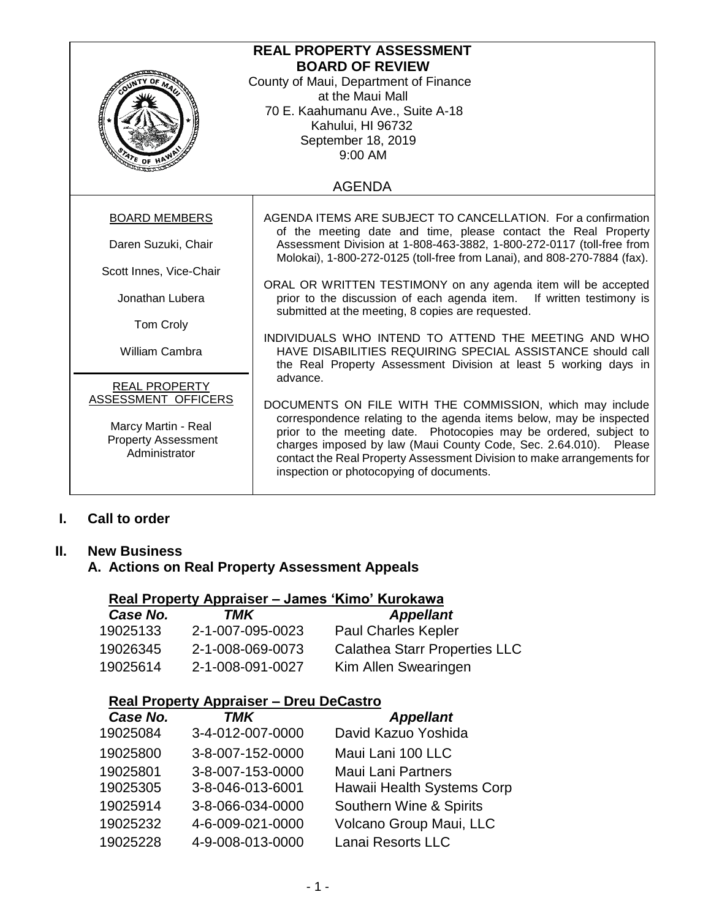| <b>REAL PROPERTY ASSESSMENT</b><br><b>BOARD OF REVIEW</b><br>County of Maui, Department of Finance<br>at the Maui Mall<br>70 E. Kaahumanu Ave., Suite A-18<br>Kahului, HI 96732<br>September 18, 2019<br>9:00 AM<br>$\frac{1}{\sqrt[4]{\epsilon}}$ of $\frac{1}{\epsilon}$ |                                                                                                                                                                                                                                                                                                                                                                                                |  |
|----------------------------------------------------------------------------------------------------------------------------------------------------------------------------------------------------------------------------------------------------------------------------|------------------------------------------------------------------------------------------------------------------------------------------------------------------------------------------------------------------------------------------------------------------------------------------------------------------------------------------------------------------------------------------------|--|
| <b>AGENDA</b>                                                                                                                                                                                                                                                              |                                                                                                                                                                                                                                                                                                                                                                                                |  |
| <b>BOARD MEMBERS</b>                                                                                                                                                                                                                                                       | AGENDA ITEMS ARE SUBJECT TO CANCELLATION. For a confirmation<br>of the meeting date and time, please contact the Real Property                                                                                                                                                                                                                                                                 |  |
| Daren Suzuki, Chair                                                                                                                                                                                                                                                        | Assessment Division at 1-808-463-3882, 1-800-272-0117 (toll-free from<br>Molokai), 1-800-272-0125 (toll-free from Lanai), and 808-270-7884 (fax).                                                                                                                                                                                                                                              |  |
| Scott Innes, Vice-Chair                                                                                                                                                                                                                                                    |                                                                                                                                                                                                                                                                                                                                                                                                |  |
| Jonathan Lubera                                                                                                                                                                                                                                                            | ORAL OR WRITTEN TESTIMONY on any agenda item will be accepted<br>prior to the discussion of each agenda item. If written testimony is<br>submitted at the meeting, 8 copies are requested.                                                                                                                                                                                                     |  |
| Tom Croly                                                                                                                                                                                                                                                                  |                                                                                                                                                                                                                                                                                                                                                                                                |  |
| <b>William Cambra</b>                                                                                                                                                                                                                                                      | INDIVIDUALS WHO INTEND TO ATTEND THE MEETING AND WHO<br>HAVE DISABILITIES REQUIRING SPECIAL ASSISTANCE should call<br>the Real Property Assessment Division at least 5 working days in                                                                                                                                                                                                         |  |
| <b>REAL PROPERTY</b>                                                                                                                                                                                                                                                       | advance.                                                                                                                                                                                                                                                                                                                                                                                       |  |
| ASSESSMENT OFFICERS<br>Marcy Martin - Real<br><b>Property Assessment</b><br>Administrator                                                                                                                                                                                  | DOCUMENTS ON FILE WITH THE COMMISSION, which may include<br>correspondence relating to the agenda items below, may be inspected<br>prior to the meeting date. Photocopies may be ordered, subject to<br>charges imposed by law (Maui County Code, Sec. 2.64.010). Please<br>contact the Real Property Assessment Division to make arrangements for<br>inspection or photocopying of documents. |  |

# **I. Call to order**

#### **II. New Business**

**A. Actions on Real Property Assessment Appeals**

## **Real Property Appraiser – James 'Kimo' Kurokawa**

| Case No. | TMK              | <b>Appellant</b>                     |
|----------|------------------|--------------------------------------|
| 19025133 | 2-1-007-095-0023 | <b>Paul Charles Kepler</b>           |
| 19026345 | 2-1-008-069-0073 | <b>Calathea Starr Properties LLC</b> |
| 19025614 | 2-1-008-091-0027 | Kim Allen Swearingen                 |

#### **Real Property Appraiser – Dreu DeCastro**

| Case No. | <b>TMK</b>       | <b>Appellant</b>           |
|----------|------------------|----------------------------|
| 19025084 | 3-4-012-007-0000 | David Kazuo Yoshida        |
| 19025800 | 3-8-007-152-0000 | Maui Lani 100 LLC          |
| 19025801 | 3-8-007-153-0000 | <b>Maui Lani Partners</b>  |
| 19025305 | 3-8-046-013-6001 | Hawaii Health Systems Corp |
| 19025914 | 3-8-066-034-0000 | Southern Wine & Spirits    |
| 19025232 | 4-6-009-021-0000 | Volcano Group Maui, LLC    |
| 19025228 | 4-9-008-013-0000 | Lanai Resorts LLC          |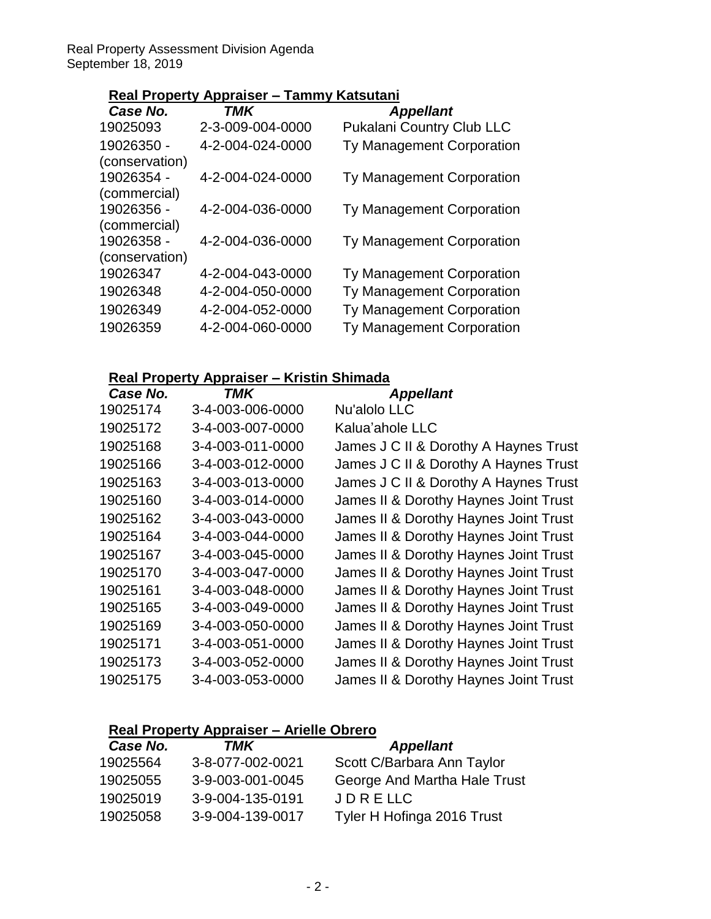Real Property Assessment Division Agenda September 18, 2019

## **Real Property Appraiser – Tammy Katsutani**

| Case No.       | <b>TMK</b>       | <b>Appellant</b>                 |
|----------------|------------------|----------------------------------|
| 19025093       | 2-3-009-004-0000 | <b>Pukalani Country Club LLC</b> |
| 19026350 -     | 4-2-004-024-0000 | Ty Management Corporation        |
| (conservation) |                  |                                  |
| 19026354 -     | 4-2-004-024-0000 | Ty Management Corporation        |
| (commercial)   |                  |                                  |
| 19026356 -     | 4-2-004-036-0000 | Ty Management Corporation        |
| (commercial)   |                  |                                  |
| 19026358 -     | 4-2-004-036-0000 | Ty Management Corporation        |
| (conservation) |                  |                                  |
| 19026347       | 4-2-004-043-0000 | Ty Management Corporation        |
| 19026348       | 4-2-004-050-0000 | Ty Management Corporation        |
| 19026349       | 4-2-004-052-0000 | Ty Management Corporation        |
| 19026359       | 4-2-004-060-0000 | Ty Management Corporation        |

# **Real Property Appraiser – Kristin Shimada**

| Case No. | TMK              | <b>Appellant</b>                      |
|----------|------------------|---------------------------------------|
| 19025174 | 3-4-003-006-0000 | Nu'alolo LLC                          |
| 19025172 | 3-4-003-007-0000 | Kalua'ahole LLC                       |
| 19025168 | 3-4-003-011-0000 | James J C II & Dorothy A Haynes Trust |
| 19025166 | 3-4-003-012-0000 | James J C II & Dorothy A Haynes Trust |
| 19025163 | 3-4-003-013-0000 | James J C II & Dorothy A Haynes Trust |
| 19025160 | 3-4-003-014-0000 | James II & Dorothy Haynes Joint Trust |
| 19025162 | 3-4-003-043-0000 | James II & Dorothy Haynes Joint Trust |
| 19025164 | 3-4-003-044-0000 | James II & Dorothy Haynes Joint Trust |
| 19025167 | 3-4-003-045-0000 | James II & Dorothy Haynes Joint Trust |
| 19025170 | 3-4-003-047-0000 | James II & Dorothy Haynes Joint Trust |
| 19025161 | 3-4-003-048-0000 | James II & Dorothy Haynes Joint Trust |
| 19025165 | 3-4-003-049-0000 | James II & Dorothy Haynes Joint Trust |
| 19025169 | 3-4-003-050-0000 | James II & Dorothy Haynes Joint Trust |
| 19025171 | 3-4-003-051-0000 | James II & Dorothy Haynes Joint Trust |
| 19025173 | 3-4-003-052-0000 | James II & Dorothy Haynes Joint Trust |
| 19025175 | 3-4-003-053-0000 | James II & Dorothy Haynes Joint Trust |
|          |                  |                                       |

# **Real Property Appraiser – Arielle Obrero**

| Case No. | TMK              | <b>Appellant</b>             |
|----------|------------------|------------------------------|
| 19025564 | 3-8-077-002-0021 | Scott C/Barbara Ann Taylor   |
| 19025055 | 3-9-003-001-0045 | George And Martha Hale Trust |
| 19025019 | 3-9-004-135-0191 | JDRELLC                      |
| 19025058 | 3-9-004-139-0017 | Tyler H Hofinga 2016 Trust   |